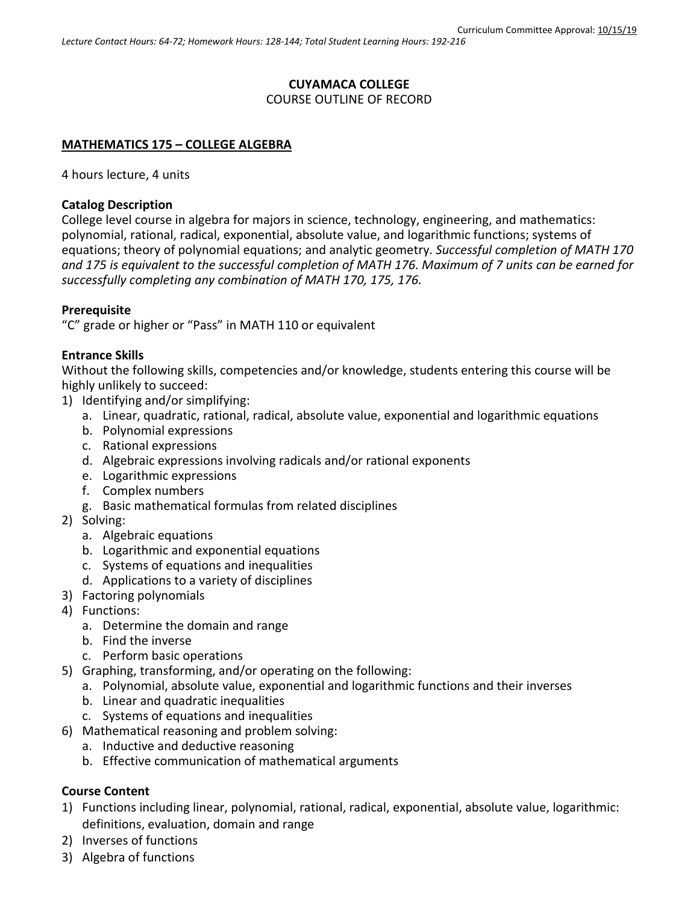# **CUYAMACA COLLEGE** COURSE OUTLINE OF RECORD

#### **MATHEMATICS 175 – COLLEGE ALGEBRA**

4 hours lecture, 4 units

#### **Catalog Description**

College level course in algebra for majors in science, technology, engineering, and mathematics: polynomial, rational, radical, exponential, absolute value, and logarithmic functions; systems of equations; theory of polynomial equations; and analytic geometry. *Successful completion of MATH 170 and 175 is equivalent to the successful completion of MATH 176. Maximum of 7 units can be earned for successfully completing any combination of MATH 170, 175, 176.*

#### **Prerequisite**

"C" grade or higher or "Pass" in MATH 110 or equivalent

#### **Entrance Skills**

Without the following skills, competencies and/or knowledge, students entering this course will be highly unlikely to succeed:

- 1) Identifying and/or simplifying:
	- a. Linear, quadratic, rational, radical, absolute value, exponential and logarithmic equations
	- b. Polynomial expressions
	- c. Rational expressions
	- d. Algebraic expressions involving radicals and/or rational exponents
	- e. Logarithmic expressions
	- f. Complex numbers
	- g. Basic mathematical formulas from related disciplines
- 2) Solving:
	- a. Algebraic equations
	- b. Logarithmic and exponential equations
	- c. Systems of equations and inequalities
	- d. Applications to a variety of disciplines
- 3) Factoring polynomials
- 4) Functions:
	- a. Determine the domain and range
	- b. Find the inverse
	- c. Perform basic operations
- 5) Graphing, transforming, and/or operating on the following:
	- a. Polynomial, absolute value, exponential and logarithmic functions and their inverses
	- b. Linear and quadratic inequalities
	- c. Systems of equations and inequalities
- 6) Mathematical reasoning and problem solving:
	- a. Inductive and deductive reasoning
	- b. Effective communication of mathematical arguments

### **Course Content**

- 1) Functions including linear, polynomial, rational, radical, exponential, absolute value, logarithmic: definitions, evaluation, domain and range
- 2) Inverses of functions
- 3) Algebra of functions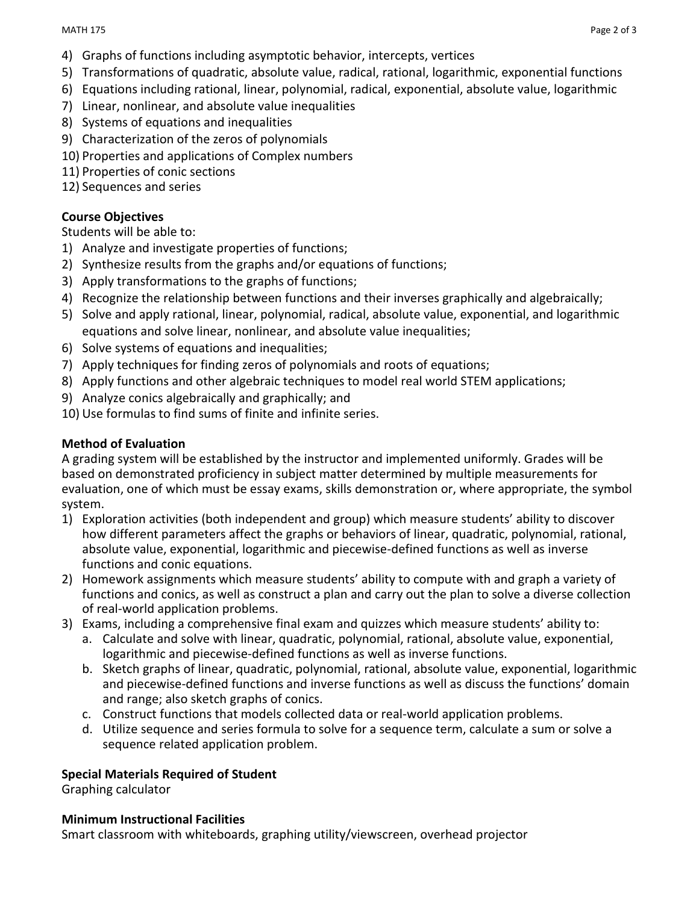- 4) Graphs of functions including asymptotic behavior, intercepts, vertices
- 5) Transformations of quadratic, absolute value, radical, rational, logarithmic, exponential functions
- 6) Equations including rational, linear, polynomial, radical, exponential, absolute value, logarithmic
- 7) Linear, nonlinear, and absolute value inequalities
- 8) Systems of equations and inequalities
- 9) Characterization of the zeros of polynomials
- 10) Properties and applications of Complex numbers
- 11) Properties of conic sections
- 12) Sequences and series

## **Course Objectives**

Students will be able to:

- 1) Analyze and investigate properties of functions;
- 2) Synthesize results from the graphs and/or equations of functions;
- 3) Apply transformations to the graphs of functions;
- 4) Recognize the relationship between functions and their inverses graphically and algebraically;
- 5) Solve and apply rational, linear, polynomial, radical, absolute value, exponential, and logarithmic equations and solve linear, nonlinear, and absolute value inequalities;
- 6) Solve systems of equations and inequalities;
- 7) Apply techniques for finding zeros of polynomials and roots of equations;
- 8) Apply functions and other algebraic techniques to model real world STEM applications;
- 9) Analyze conics algebraically and graphically; and
- 10) Use formulas to find sums of finite and infinite series.

### **Method of Evaluation**

A grading system will be established by the instructor and implemented uniformly. Grades will be based on demonstrated proficiency in subject matter determined by multiple measurements for evaluation, one of which must be essay exams, skills demonstration or, where appropriate, the symbol system.

- 1) Exploration activities (both independent and group) which measure students' ability to discover how different parameters affect the graphs or behaviors of linear, quadratic, polynomial, rational, absolute value, exponential, logarithmic and piecewise-defined functions as well as inverse functions and conic equations.
- 2) Homework assignments which measure students' ability to compute with and graph a variety of functions and conics, as well as construct a plan and carry out the plan to solve a diverse collection of real-world application problems.
- 3) Exams, including a comprehensive final exam and quizzes which measure students' ability to:
	- a. Calculate and solve with linear, quadratic, polynomial, rational, absolute value, exponential, logarithmic and piecewise-defined functions as well as inverse functions.
	- b. Sketch graphs of linear, quadratic, polynomial, rational, absolute value, exponential, logarithmic and piecewise-defined functions and inverse functions as well as discuss the functions' domain and range; also sketch graphs of conics.
	- c. Construct functions that models collected data or real-world application problems.
	- d. Utilize sequence and series formula to solve for a sequence term, calculate a sum or solve a sequence related application problem.

### **Special Materials Required of Student**

Graphing calculator

### **Minimum Instructional Facilities**

Smart classroom with whiteboards, graphing utility/viewscreen, overhead projector